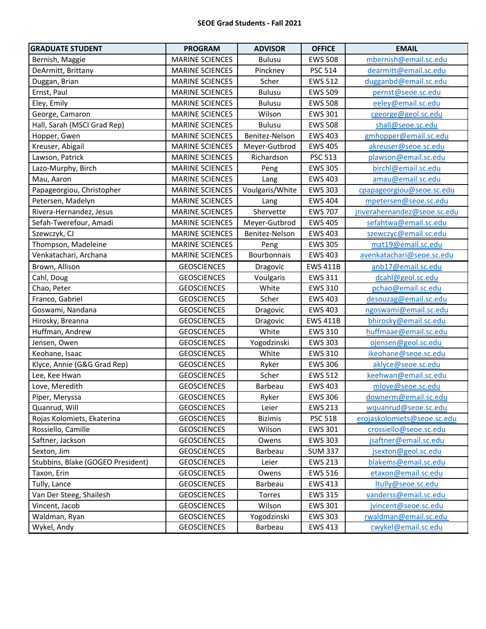| <b>GRADUATE STUDENT</b>           | <b>PROGRAM</b>         | <b>ADVISOR</b>  | <b>OFFICE</b>   | <b>EMAIL</b>                 |
|-----------------------------------|------------------------|-----------------|-----------------|------------------------------|
| Bernish, Maggie                   | <b>MARINE SCIENCES</b> | <b>Bulusu</b>   | <b>EWS 508</b>  | mbernish@email.sc.edu        |
| DeArmitt, Brittany                | <b>MARINE SCIENCES</b> | Pinckney        | <b>PSC 514</b>  | dearmitt@email.sc.edu        |
| Duggan, Brian                     | <b>MARINE SCIENCES</b> | Scher           | <b>EWS 512</b>  | dugganbd@email.sc.edu        |
| Ernst, Paul                       | <b>MARINE SCIENCES</b> | <b>Bulusu</b>   | <b>EWS 509</b>  | pernst@seoe.sc.edu           |
| Eley, Emily                       | <b>MARINE SCIENCES</b> | <b>Bulusu</b>   | <b>EWS 508</b>  | eeley@email.sc.edu           |
| George, Camaron                   | <b>MARINE SCIENCES</b> | Wilson          | <b>EWS 301</b>  | cgeorge@geol.sc.edu          |
| Hall, Sarah (MSCI Grad Rep)       | <b>MARINE SCIENCES</b> | <b>Bulusu</b>   | <b>EWS 508</b>  | shall@seoe.sc.edu            |
| Hopper, Gwen                      | <b>MARINE SCIENCES</b> | Benitez-Nelson  | <b>EWS 403</b>  | gmhopper@email.sc.edu        |
| Kreuser, Abigail                  | <b>MARINE SCIENCES</b> | Meyer-Gutbrod   | <b>EWS 405</b>  | akreuser@seoe.sc.edu         |
| Lawson, Patrick                   | <b>MARINE SCIENCES</b> | Richardson      | PSC 513         | plawson@email.sc.edu         |
| Lazo-Murphy, Birch                | <b>MARINE SCIENCES</b> | Peng            | <b>EWS 305</b>  | birchl@email.sc.edu          |
| Mau, Aaron                        | <b>MARINE SCIENCES</b> | Lang            | <b>EWS 403</b>  | amau@email.sc.edu            |
| Papageorgiou, Christopher         | <b>MARINE SCIENCES</b> | Voulgaris/White | <b>EWS 303</b>  | cpapageorgiou@seoe.sc.edu    |
| Petersen, Madelyn                 | <b>MARINE SCIENCES</b> | Lang            | <b>EWS 404</b>  | mpetersen@seoe.sc.edu        |
| Rivera-Hernandez, Jesus           | <b>MARINE SCIENCES</b> | Shervette       | <b>EWS 707</b>  | jriverahernandez@seoe.sc.edu |
| Sefah-Twerefour, Amadi            | <b>MARINE SCIENCES</b> | Meyer-Gutbrod   | <b>EWS 405</b>  | sefahtwa@email.sc.edu        |
| Szewczyk, CJ                      | <b>MARINE SCIENCES</b> | Benitez-Nelson  | <b>EWS 403</b>  | szewczyc@email.sc.edu        |
| Thompson, Madeleine               | <b>MARINE SCIENCES</b> | Peng            | <b>EWS 305</b>  | mat19@email.sc.edu           |
| Venkatachari, Archana             | <b>MARINE SCIENCES</b> | Bourbonnais     | <b>EWS 403</b>  | avenkatachari@seoe.sc.edu    |
| Brown, Allison                    | <b>GEOSCIENCES</b>     | Dragovic        | <b>EWS 411B</b> | anb17@email.sc.edu           |
| Cahl, Doug                        | <b>GEOSCIENCES</b>     | Voulgaris       | <b>EWS 311</b>  | dcahl@geol.sc.edu            |
| Chao, Peter                       | <b>GEOSCIENCES</b>     | White           | <b>EWS 310</b>  | pchao@email.sc.edu           |
| Franco, Gabriel                   | <b>GEOSCIENCES</b>     | Scher           | <b>EWS 403</b>  | desouzag@email.sc.edu        |
| Goswami, Nandana                  | <b>GEOSCIENCES</b>     | Dragovic        | <b>EWS 403</b>  | ngoswami@email.sc.edu        |
| Hirosky, Breanna                  | <b>GEOSCIENCES</b>     | Dragovic        | <b>EWS 411B</b> | bhirosky@email.sc.edu        |
| Huffman, Andrew                   | <b>GEOSCIENCES</b>     | White           | <b>EWS 310</b>  | huffmaae@email.sc.edu        |
| Jensen, Owen                      | <b>GEOSCIENCES</b>     | Yogodzinski     | <b>EWS 303</b>  | ojensen@geol.sc.edu          |
| Keohane, Isaac                    | <b>GEOSCIENCES</b>     | White           | <b>EWS 310</b>  | ikeohane@seoe.sc.edu         |
| Klyce, Annie (G&G Grad Rep)       | <b>GEOSCIENCES</b>     | Ryker           | <b>EWS 306</b>  | aklyce@seoe.sc.edu           |
| Lee, Kee Hwan                     | <b>GEOSCIENCES</b>     | Scher           | <b>EWS 512</b>  | keehwan@email.sc.edu         |
| Love, Meredith                    | <b>GEOSCIENCES</b>     | Barbeau         | <b>EWS 403</b>  | mlove@seoe.sc.edu            |
| Piper, Meryssa                    | <b>GEOSCIENCES</b>     | Ryker           | <b>EWS 306</b>  | downerm@email.sc.edu         |
| Quanrud, Will                     | <b>GEOSCIENCES</b>     | Leier           | <b>EWS 213</b>  | wquanrud@seoe.sc.edu         |
| Rojas Kolomiets, Ekaterina        | <b>GEOSCIENCES</b>     | <b>Bizimis</b>  | <b>PSC 518</b>  | erojaskolomiets@seoe.sc.edu  |
| Rossiello, Camille                | <b>GEOSCIENCES</b>     | Wilson          | <b>EWS 301</b>  | crossiello@seoe.sc.edu       |
| Saftner, Jackson                  | <b>GEOSCIENCES</b>     | Owens           | <b>EWS 303</b>  | jsaftner@email.sc.edu        |
| Sexton, Jim                       | <b>GEOSCIENCES</b>     | Barbeau         | <b>SUM 337</b>  | jsexton@geol.sc.edu          |
| Stubbins, Blake (GOGEO President) | <b>GEOSCIENCES</b>     | Leier           | <b>EWS 213</b>  | blakems@email.sc.edu         |
| Taxon, Erin                       | <b>GEOSCIENCES</b>     | Owens           | <b>EWS 516</b>  | etaxon@email.sc.edu          |
| Tully, Lance                      | <b>GEOSCIENCES</b>     | Barbeau         | <b>EWS 413</b>  | ltully@seoe.sc.edu           |
| Van Der Steeg, Shailesh           | <b>GEOSCIENCES</b>     | Torres          | <b>EWS 315</b>  | vanderss@email.sc.edu        |
| Vincent, Jacob                    | <b>GEOSCIENCES</b>     | Wilson          | <b>EWS 301</b>  | jvincent@seoe.sc.edu         |
| Waldman, Ryan                     | <b>GEOSCIENCES</b>     | Yogodzinski     | <b>EWS 303</b>  | rwaldman@email.sc.edu        |
| Wykel, Andy                       | <b>GEOSCIENCES</b>     | Barbeau         | <b>EWS 413</b>  | cwykel@email.sc.edu          |